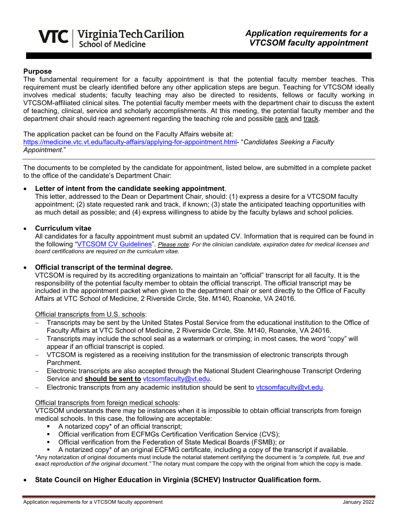

## **Purpose**

The fundamental requirement for a faculty appointment is that the potential faculty member teaches. This requirement must be clearly identified before any other application steps are begun. Teaching for VTCSOM ideally involves medical students; faculty teaching may also be directed to residents, fellows or faculty working in VTCSOM-affiliated clinical sites. The potential faculty member meets with the department chair to discuss the extent of teaching, clinical, service and scholarly accomplishments. At this meeting, the potential faculty member and the department chair should reach agreement regarding the teaching role and possible rank and track.

The application packet can be found on the Faculty Affairs website at: [https://medicine.vtc.vt.edu/faculty-affairs/applying-for-appointment.html-](https://medicine.vtc.vt.edu/faculty-affairs/applying-for-appointment.html) "*Candidates Seeking a Faculty Appointment*."

The documents to be completed by the candidate for appointment, listed below, are submitted in a complete packet to the office of the candidate's Department Chair:

## • **Letter of intent from the candidate seeking appointment**.

This letter, addressed to the Dean or Department Chair, should: (1) express a desire for a VTCSOM faculty appointment; (2) state requested rank and track, if known; (3) state the anticipated teaching opportunities with as much detail as possible; and (4) express willingness to abide by the faculty bylaws and school policies.

## • **Curriculum vitae**

All candidates for a faculty appointment must submit an updated CV. Information that is required can be found in the following ["VTCSOM CV Guidelines"](https://medicine.vtc.vt.edu/content/dam/medicine_vtc_vt_edu/faculty-affairs/vtcsom-cv-guidelines.pdf). *Please note: For the clinician candidate, expiration dates for medical licenses and board certifications are required on the curriculum vitae.*

## • **Official transcript of the terminal degree.**

VTCSOM is required by its accrediting organizations to maintain an "official" transcript for all faculty. It is the responsibility of the potential faculty member to obtain the official transcript. The official transcript may be included in the appointment packet when given to the department chair or sent directly to the Office of Faculty Affairs at VTC School of Medicine, 2 Riverside Circle, Ste. M140, Roanoke, VA 24016.

Official transcripts from U.S. schools:

- Transcripts may be sent by the United States Postal Service from the educational institution to the Office of Faculty Affairs at VTC School of Medicine, 2 Riverside Circle, Ste. M140, Roanoke, VA 24016.
- − Transcripts may include the school seal as a watermark or crimping; in most cases, the word "copy" will appear if an official transcript is copied.
- − VTCSOM is registered as a receiving institution for the transmission of electronic transcripts through Parchment.
- − Electronic transcripts are also accepted through the National Student Clearinghouse Transcript Ordering Service and **should be sent to** [vtcsomfaculty@vt.edu.](mailto:vtcsomfaculty@vt.edu)
- Electronic transcripts from any academic institution should be sent to [vtcsomfaculty@vt.edu.](mailto:vtcsomfaculty@vt.edu)

## Official transcripts from foreign medical schools:

VTCSOM understands there may be instances when it is impossible to obtain official transcripts from foreign medical schools. In this case, the following are acceptable:

- A notarized copy\* of an official transcript;
- Official verification from ECFMGs Certification Verification Service (CVS);
- Official verification from the Federation of State Medical Boards (FSMB); or
- A notarized copy\* of an original ECFMG certificate, including a copy of the transcript if available.

\*Any notarization of original documents must include the notarial statement certifying the document is *"a complete, full, true and exact reproduction of the original document."* The notary must compare the copy with the original from which the copy is made.

# • **State Council on Higher Education in Virginia (SCHEV) Instructor Qualification form.**